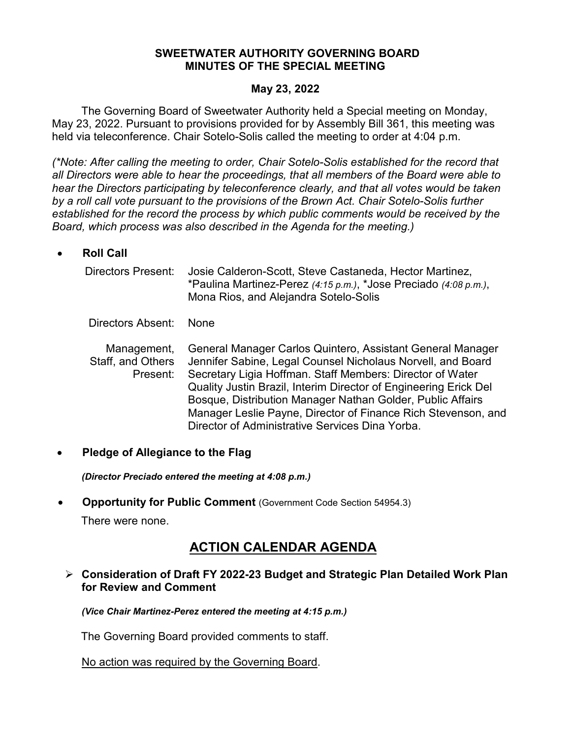#### **SWEETWATER AUTHORITY GOVERNING BOARD MINUTES OF THE SPECIAL MEETING**

#### **May 23, 2022**

The Governing Board of Sweetwater Authority held a Special meeting on Monday, May 23, 2022. Pursuant to provisions provided for by Assembly Bill 361, this meeting was held via teleconference. Chair Sotelo-Solis called the meeting to order at 4:04 p.m.

*(\*Note: After calling the meeting to order, Chair Sotelo-Solis established for the record that all Directors were able to hear the proceedings, that all members of the Board were able to hear the Directors participating by teleconference clearly, and that all votes would be taken by a roll call vote pursuant to the provisions of the Brown Act. Chair Sotelo-Solis further established for the record the process by which public comments would be received by the Board, which process was also described in the Agenda for the meeting.)*

#### • **Roll Call**

| Directors Present:                           | Josie Calderon-Scott, Steve Castaneda, Hector Martinez,<br>*Paulina Martinez-Perez $(4:15 \text{ p.m.})$ , *Jose Preciado $(4:08 \text{ p.m.})$ ,<br>Mona Rios, and Alejandra Sotelo-Solis                                                                                                                                                                                                                                                   |
|----------------------------------------------|----------------------------------------------------------------------------------------------------------------------------------------------------------------------------------------------------------------------------------------------------------------------------------------------------------------------------------------------------------------------------------------------------------------------------------------------|
| Directors Absent:                            | <b>None</b>                                                                                                                                                                                                                                                                                                                                                                                                                                  |
| Management,<br>Staff, and Others<br>Present: | General Manager Carlos Quintero, Assistant General Manager<br>Jennifer Sabine, Legal Counsel Nicholaus Norvell, and Board<br>Secretary Ligia Hoffman. Staff Members: Director of Water<br>Quality Justin Brazil, Interim Director of Engineering Erick Del<br>Bosque, Distribution Manager Nathan Golder, Public Affairs<br>Manager Leslie Payne, Director of Finance Rich Stevenson, and<br>Director of Administrative Services Dina Yorba. |

#### • **Pledge of Allegiance to the Flag**

*(Director Preciado entered the meeting at 4:08 p.m.)*

• **Opportunity for Public Comment** (Government Code Section 54954.3)

There were none.

# **ACTION CALENDAR AGENDA**

### **Consideration of Draft FY 2022-23 Budget and Strategic Plan Detailed Work Plan for Review and Comment**

*(Vice Chair Martinez-Perez entered the meeting at 4:15 p.m.)*

The Governing Board provided comments to staff.

No action was required by the Governing Board.